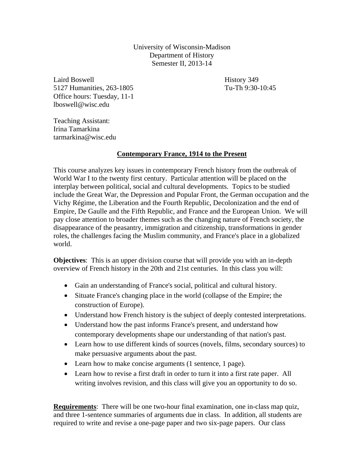University of Wisconsin-Madison Department of History Semester II, 2013-14

Laird Boswell History 349 5127 Humanities, 263-1805 Tu-Th 9:30-10:45 Office hours: Tuesday, 11-1 lboswell@wisc.edu

Teaching Assistant: Irina Tamarkina tarmarkina@wisc.edu

# **Contemporary France, 1914 to the Present**

This course analyzes key issues in contemporary French history from the outbreak of World War I to the twenty first century. Particular attention will be placed on the interplay between political, social and cultural developments. Topics to be studied include the Great War, the Depression and Popular Front, the German occupation and the Vichy Régime, the Liberation and the Fourth Republic, Decolonization and the end of Empire, De Gaulle and the Fifth Republic, and France and the European Union. We will pay close attention to broader themes such as the changing nature of French society, the disappearance of the peasantry, immigration and citizenship, transformations in gender roles, the challenges facing the Muslim community, and France's place in a globalized world.

**Objectives**: This is an upper division course that will provide you with an in-depth overview of French history in the 20th and 21st centuries. In this class you will:

- Gain an understanding of France's social, political and cultural history.
- Situate France's changing place in the world (collapse of the Empire; the construction of Europe).
- Understand how French history is the subject of deeply contested interpretations.
- Understand how the past informs France's present, and understand how contemporary developments shape our understanding of that nation's past.
- Learn how to use different kinds of sources (novels, films, secondary sources) to make persuasive arguments about the past.
- Learn how to make concise arguments (1 sentence, 1 page).
- Learn how to revise a first draft in order to turn it into a first rate paper. All writing involves revision, and this class will give you an opportunity to do so.

**Requirements**: There will be one two-hour final examination, one in-class map quiz, and three 1-sentence summaries of arguments due in class. In addition, all students are required to write and revise a one-page paper and two six-page papers. Our class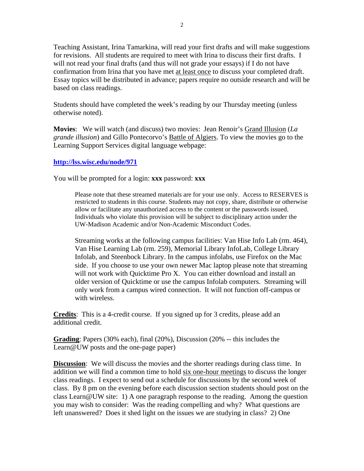Teaching Assistant, Irina Tamarkina, will read your first drafts and will make suggestions for revisions. All students are required to meet with Irina to discuss their first drafts. I will not read your final drafts (and thus will not grade your essays) if I do not have confirmation from Irina that you have met at least once to discuss your completed draft. Essay topics will be distributed in advance; papers require no outside research and will be based on class readings.

Students should have completed the week's reading by our Thursday meeting (unless otherwise noted).

**Movies**: We will watch (and discuss) two movies: Jean Renoir's Grand Illusion (*La grande illusion*) and Gillo Pontecorvo's Battle of Algiers. To view the movies go to the Learning Support Services digital language webpage:

# **http://lss.wisc.edu/node/971**

You will be prompted for a login: **xxx** password: **xxx** 

Please note that these streamed materials are for your use only. Access to RESERVES is restricted to students in this course. Students may not copy, share, distribute or otherwise allow or facilitate any unauthorized access to the content or the passwords issued. Individuals who violate this provision will be subject to disciplinary action under the UW-Madison Academic and/or Non-Academic Misconduct Codes.

Streaming works at the following campus facilities: Van Hise Info Lab (rm. 464), Van Hise Learning Lab (rm. 259), Memorial Library InfoLab, College Library Infolab, and Steenbock Library. In the campus infolabs, use Firefox on the Mac side. If you choose to use your own newer Mac laptop please note that streaming will not work with Quicktime Pro X. You can either download and install an older version of Quicktime or use the campus Infolab computers. Streaming will only work from a campus wired connection. It will not function off-campus or with wireless.

**Credits**: This is a 4-credit course. If you signed up for 3 credits, please add an additional credit.

**Grading**: Papers (30% each), final (20%), Discussion (20% -- this includes the Learn@UW posts and the one-page paper)

**Discussion:** We will discuss the movies and the shorter readings during class time. In addition we will find a common time to hold six one-hour meetings to discuss the longer class readings. I expect to send out a schedule for discussions by the second week of class. By 8 pm on the evening before each discussion section students should post on the class Learn@UW site: 1) A one paragraph response to the reading. Among the question you may wish to consider: Was the reading compelling and why? What questions are left unanswered? Does it shed light on the issues we are studying in class? 2) One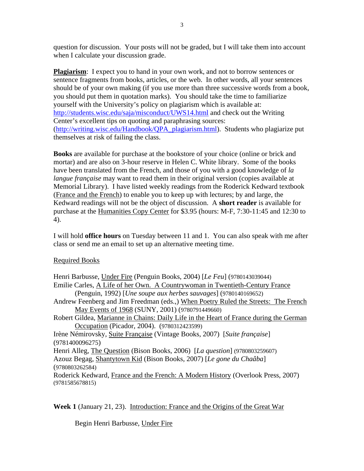question for discussion. Your posts will not be graded, but I will take them into account when I calculate your discussion grade.

**Plagiarism**: I expect you to hand in your own work, and not to borrow sentences or sentence fragments from books, articles, or the web. In other words, all your sentences should be of your own making (if you use more than three successive words from a book, you should put them in quotation marks). You should take the time to familiarize yourself with the University's policy on plagiarism which is available at: http://students.wisc.edu/saja/misconduct/UWS14.html and check out the Writing Center's excellent tips on quoting and paraphrasing sources: (http://writing.wisc.edu/Handbook/QPA\_plagiarism.html). Students who plagiarize put themselves at risk of failing the class.

**Books** are available for purchase at the bookstore of your choice (online or brick and mortar) and are also on 3-hour reserve in Helen C. White library. Some of the books have been translated from the French, and those of you with a good knowledge of *la langue française* may want to read them in their original version (copies available at Memorial Library). I have listed weekly readings from the Roderick Kedward textbook (France and the French) to enable you to keep up with lectures; by and large, the Kedward readings will not be the object of discussion. A **short reader** is available for purchase at the Humanities Copy Center for \$3.95 (hours: M-F, 7:30-11:45 and 12:30 to 4).

I will hold **office hours** on Tuesday between 11 and 1. You can also speak with me after class or send me an email to set up an alternative meeting time.

# Required Books

Henri Barbusse, Under Fire (Penguin Books, 2004) [*Le Feu*] (9780143039044) Emilie Carles, A Life of her Own. A Countrywoman in Twentieth-Century France (Penguin, 1992) [*Une soupe aux herbes sauvages*] (9780140169652) Andrew Feenberg and Jim Freedman (eds.,) When Poetry Ruled the Streets: The French May Events of 1968 (SUNY, 2001) (9780791449660) Robert Gildea, Marianne in Chains: Daily Life in the Heart of France during the German Occupation (Picador, 2004). (9780312423599) Irène Némirovsky, Suite Française (Vintage Books, 2007) [*Suite française*] (9781400096275) Henri Alleg, The Question (Bison Books, 2006) [*La question*] (9780803259607) Azouz Begag, Shantytown Kid (Bison Books, 2007) [*Le gone du Chaâba*] (9780803262584) Roderick Kedward, France and the French: A Modern History (Overlook Press, 2007) (9781585678815)

**Week 1** (January 21, 23). Introduction: France and the Origins of the Great War

Begin Henri Barbusse, Under Fire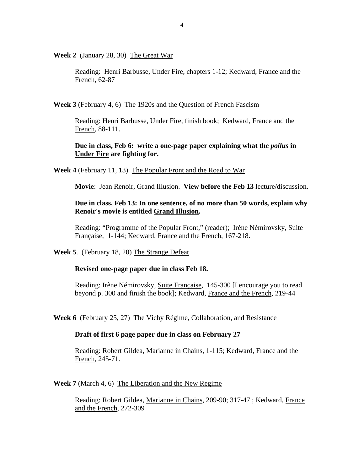**Week 2** (January 28, 30) The Great War

Reading: Henri Barbusse, Under Fire, chapters 1-12; Kedward, France and the French, 62-87

**Week 3** (February 4, 6) The 1920s and the Question of French Fascism

Reading: Henri Barbusse, Under Fire, finish book; Kedward, France and the French, 88-111.

# **Due in class, Feb 6: write a one-page paper explaining what the** *poilus* **in Under Fire are fighting for.**

**Week 4** (February 11, 13) The Popular Front and the Road to War

**Movie**: Jean Renoir, Grand Illusion. **View before the Feb 13** lecture/discussion.

# **Due in class, Feb 13: In one sentence, of no more than 50 words, explain why Renoir's movie is entitled Grand Illusion.**

Reading: "Programme of the Popular Front," (reader); Irène Némirovsky, Suite Française, 1-144; Kedward, France and the French, 167-218.

**Week 5**. (February 18, 20) The Strange Defeat

#### **Revised one-page paper due in class Feb 18.**

Reading: Irène Némirovsky, Suite Française, 145-300 [I encourage you to read beyond p. 300 and finish the book]; Kedward, France and the French, 219-44

**Week 6** (February 25, 27) The Vichy Régime, Collaboration, and Resistance

#### **Draft of first 6 page paper due in class on February 27**

Reading: Robert Gildea, Marianne in Chains, 1-115; Kedward, France and the French, 245-71.

**Week 7** (March 4, 6) The Liberation and the New Regime

Reading: Robert Gildea, Marianne in Chains, 209-90; 317-47 ; Kedward, France and the French, 272-309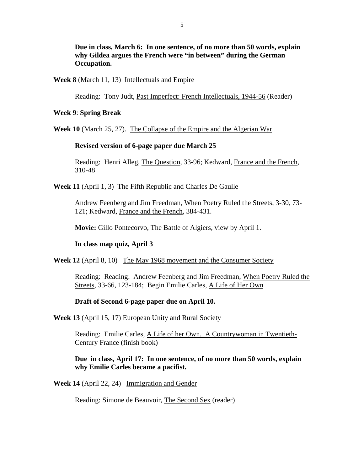**Due in class, March 6: In one sentence, of no more than 50 words, explain why Gildea argues the French were "in between" during the German Occupation.** 

### **Week 8** (March 11, 13) Intellectuals and Empire

Reading: Tony Judt, Past Imperfect: French Intellectuals, 1944-56 (Reader)

#### **Week 9**: **Spring Break**

**Week 10** (March 25, 27). The Collapse of the Empire and the Algerian War

## **Revised version of 6-page paper due March 25**

Reading: Henri Alleg, The Question, 33-96; Kedward, France and the French, 310-48

**Week 11** (April 1, 3) The Fifth Republic and Charles De Gaulle

Andrew Feenberg and Jim Freedman, When Poetry Ruled the Streets, 3-30, 73- 121; Kedward, France and the French, 384-431.

**Movie:** Gillo Pontecorvo, The Battle of Algiers, view by April 1.

## **In class map quiz, April 3**

## **Week 12** (April 8, 10) The May 1968 movement and the Consumer Society

Reading: Reading: Andrew Feenberg and Jim Freedman, When Poetry Ruled the Streets, 33-66, 123-184; Begin Emilie Carles, A Life of Her Own

### **Draft of Second 6-page paper due on April 10.**

#### **Week 13** (April 15, 17) European Unity and Rural Society

Reading: Emilie Carles, A Life of her Own. A Countrywoman in Twentieth-Century France (finish book)

**Due in class, April 17: In one sentence, of no more than 50 words, explain why Emilie Carles became a pacifist.** 

**Week 14** (April 22, 24) Immigration and Gender

Reading: Simone de Beauvoir, The Second Sex (reader)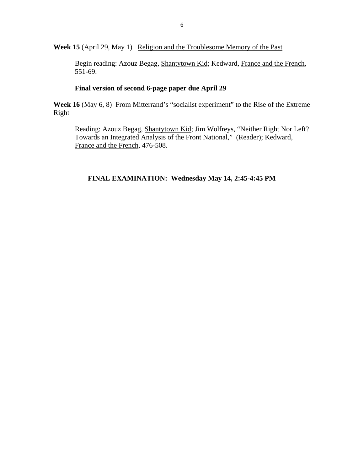Week 15 (April 29, May 1) Religion and the Troublesome Memory of the Past

Begin reading: Azouz Begag, Shantytown Kid; Kedward, France and the French, 551-69.

## **Final version of second 6-page paper due April 29**

Week 16 (May 6, 8) From Mitterrand's "socialist experiment" to the Rise of the Extreme Right

Reading: Azouz Begag, Shantytown Kid; Jim Wolfreys, "Neither Right Nor Left? Towards an Integrated Analysis of the Front National," (Reader); Kedward, France and the French, 476-508.

# **FINAL EXAMINATION: Wednesday May 14, 2:45-4:45 PM**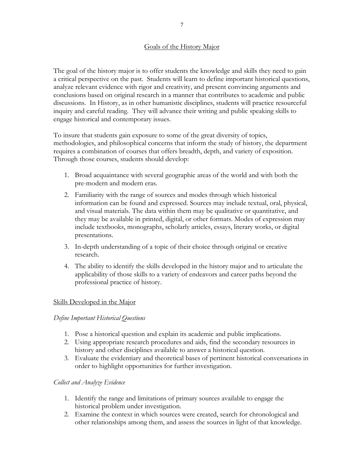# Goals of the History Major

The goal of the history major is to offer students the knowledge and skills they need to gain a critical perspective on the past. Students will learn to define important historical questions, analyze relevant evidence with rigor and creativity, and present convincing arguments and conclusions based on original research in a manner that contributes to academic and public discussions. In History, as in other humanistic disciplines, students will practice resourceful inquiry and careful reading. They will advance their writing and public speaking skills to engage historical and contemporary issues.

To insure that students gain exposure to some of the great diversity of topics, methodologies, and philosophical concerns that inform the study of history, the department requires a combination of courses that offers breadth, depth, and variety of exposition. Through those courses, students should develop:

- 1. Broad acquaintance with several geographic areas of the world and with both the pre-modern and modern eras.
- 2. Familiarity with the range of sources and modes through which historical information can be found and expressed. Sources may include textual, oral, physical, and visual materials. The data within them may be qualitative or quantitative, and they may be available in printed, digital, or other formats. Modes of expression may include textbooks, monographs, scholarly articles, essays, literary works, or digital presentations.
- 3. In-depth understanding of a topic of their choice through original or creative research.
- 4. The ability to identify the skills developed in the history major and to articulate the applicability of those skills to a variety of endeavors and career paths beyond the professional practice of history.

## Skills Developed in the Major

## *Define Important Historical Questions*

- 1. Pose a historical question and explain its academic and public implications.
- 2. Using appropriate research procedures and aids, find the secondary resources in history and other disciplines available to answer a historical question.
- 3. Evaluate the evidentiary and theoretical bases of pertinent historical conversations in order to highlight opportunities for further investigation.

## *Collect and Analyze Evidence*

- 1. Identify the range and limitations of primary sources available to engage the historical problem under investigation.
- 2. Examine the context in which sources were created, search for chronological and other relationships among them, and assess the sources in light of that knowledge.